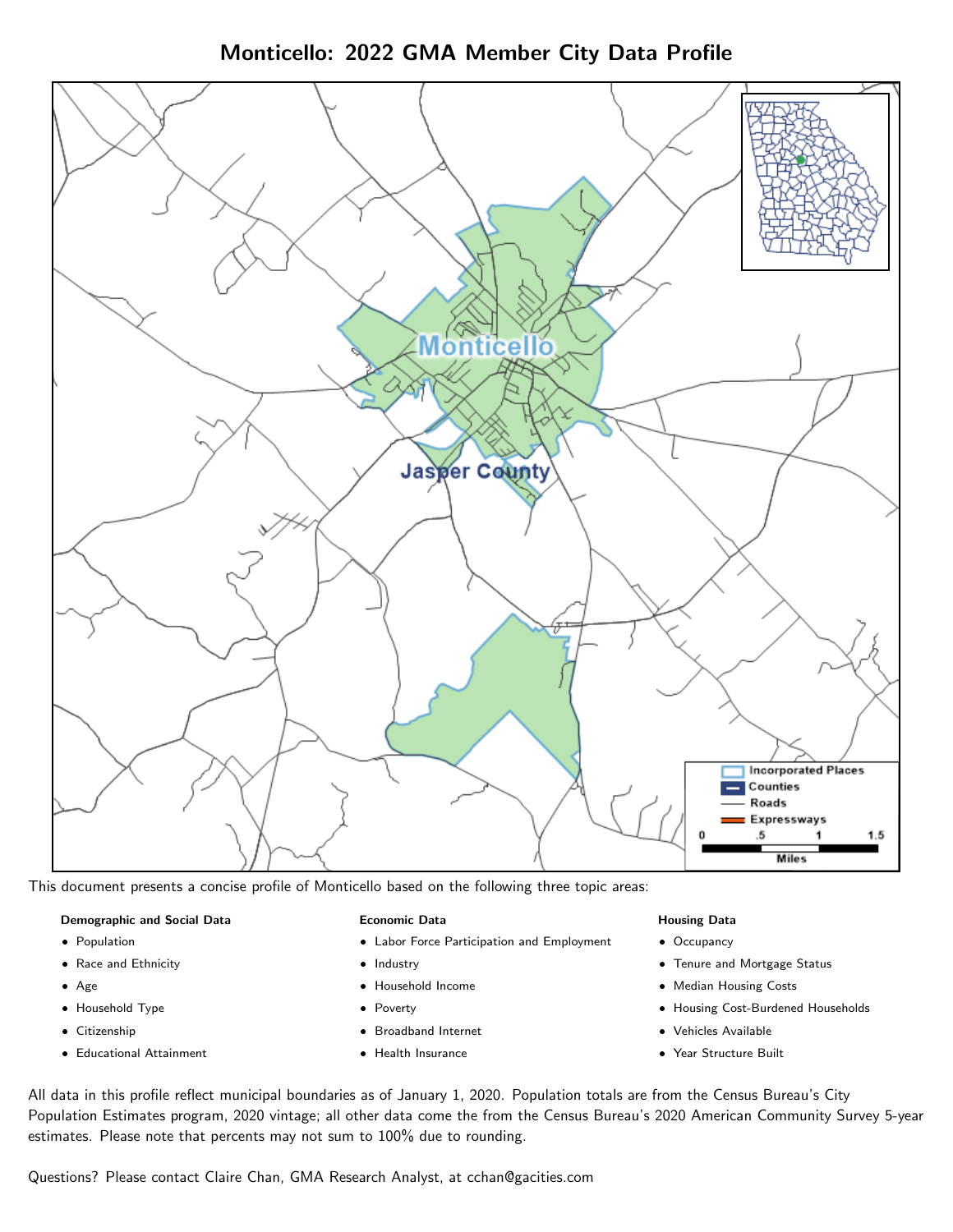Monticello: 2022 GMA Member City Data Profile



This document presents a concise profile of Monticello based on the following three topic areas:

#### Demographic and Social Data

- **•** Population
- Race and Ethnicity
- Age
- Household Type
- **Citizenship**
- Educational Attainment

#### Economic Data

- Labor Force Participation and Employment
- Industry
- Household Income
- Poverty
- Broadband Internet
- Health Insurance

#### Housing Data

- Occupancy
- Tenure and Mortgage Status
- Median Housing Costs
- Housing Cost-Burdened Households
- Vehicles Available
- Year Structure Built

All data in this profile reflect municipal boundaries as of January 1, 2020. Population totals are from the Census Bureau's City Population Estimates program, 2020 vintage; all other data come the from the Census Bureau's 2020 American Community Survey 5-year estimates. Please note that percents may not sum to 100% due to rounding.

Questions? Please contact Claire Chan, GMA Research Analyst, at [cchan@gacities.com.](mailto:cchan@gacities.com)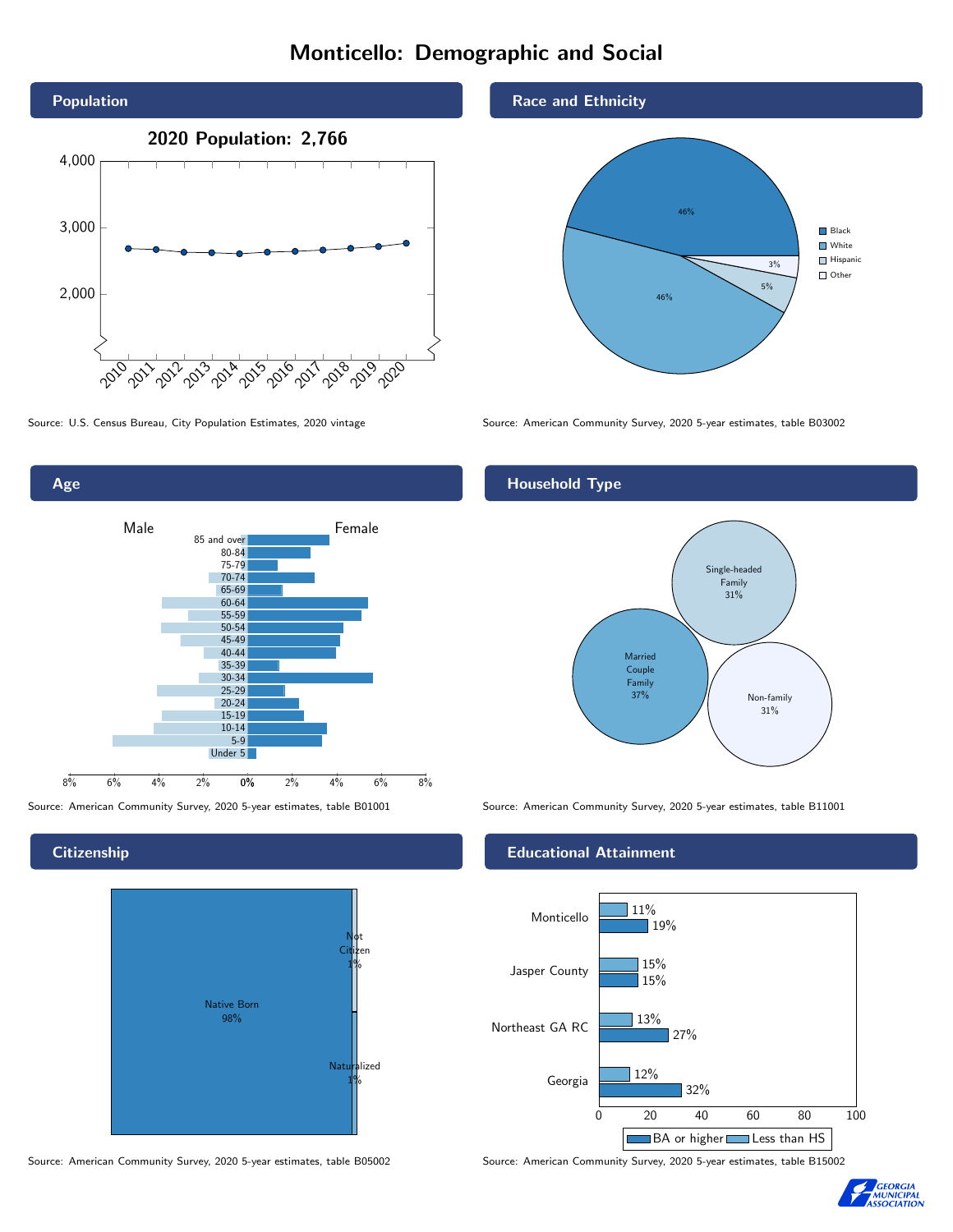# Monticello: Demographic and Social





**Citizenship** 



Source: American Community Survey, 2020 5-year estimates, table B05002 Source: American Community Survey, 2020 5-year estimates, table B15002

#### Race and Ethnicity



Source: U.S. Census Bureau, City Population Estimates, 2020 vintage Source: American Community Survey, 2020 5-year estimates, table B03002

## Household Type



Source: American Community Survey, 2020 5-year estimates, table B01001 Source: American Community Survey, 2020 5-year estimates, table B11001

#### Educational Attainment



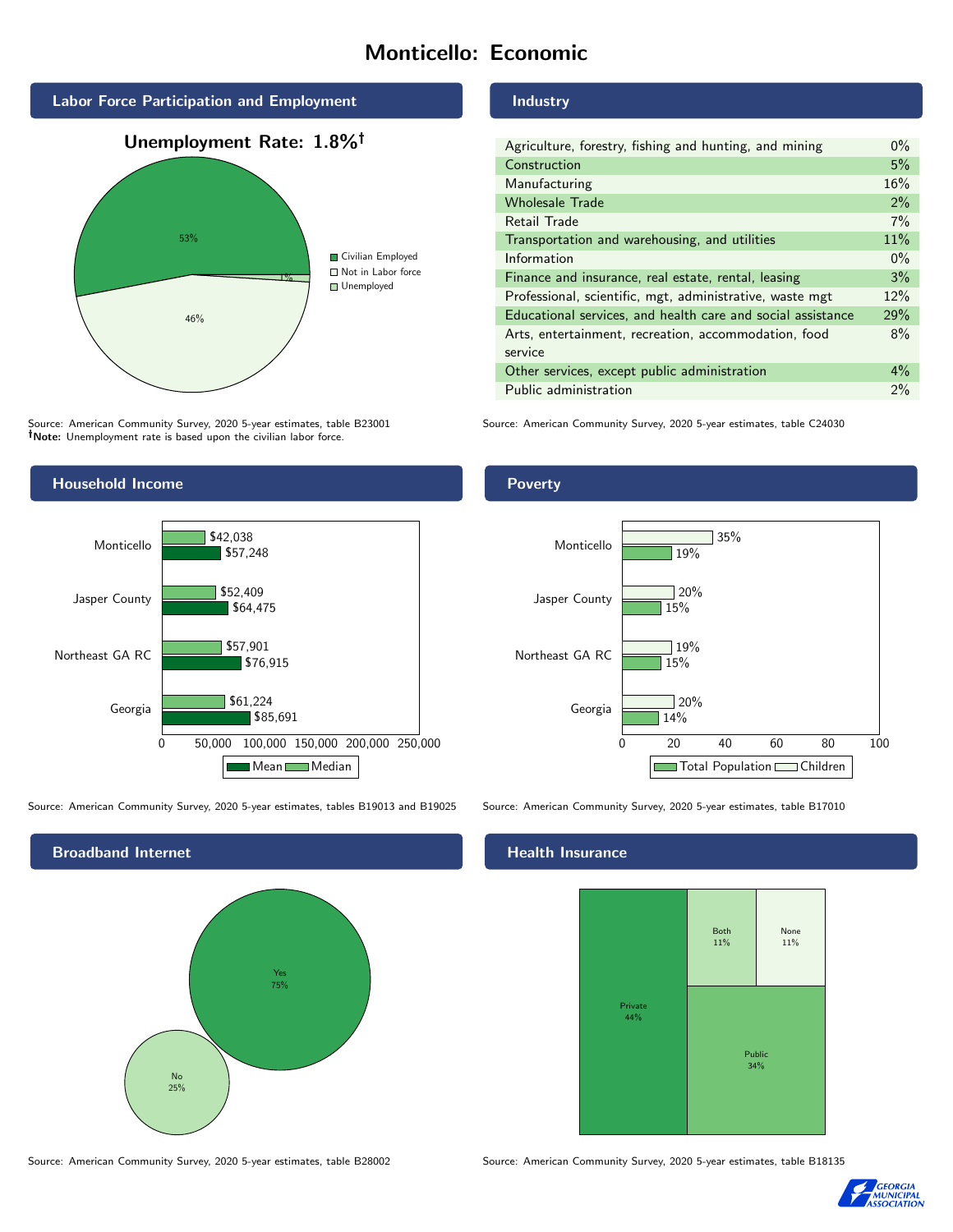# Monticello: Economic



Source: American Community Survey, 2020 5-year estimates, table B23001 Note: Unemployment rate is based upon the civilian labor force.

### Industry

| Agriculture, forestry, fishing and hunting, and mining      | $0\%$ |
|-------------------------------------------------------------|-------|
| Construction                                                | 5%    |
| Manufacturing                                               | 16%   |
| <b>Wholesale Trade</b>                                      | 2%    |
| Retail Trade                                                | 7%    |
| Transportation and warehousing, and utilities               | 11%   |
| Information                                                 | $0\%$ |
| Finance and insurance, real estate, rental, leasing         | 3%    |
| Professional, scientific, mgt, administrative, waste mgt    | 12%   |
| Educational services, and health care and social assistance | 29%   |
| Arts, entertainment, recreation, accommodation, food        | 8%    |
| service                                                     |       |
| Other services, except public administration                | $4\%$ |
| Public administration                                       | 2%    |

Source: American Community Survey, 2020 5-year estimates, table C24030



Source: American Community Survey, 2020 5-year estimates, tables B19013 and B19025 Source: American Community Survey, 2020 5-year estimates, table B17010



### Poverty



### Health Insurance



Source: American Community Survey, 2020 5-year estimates, table B28002 Source: American Community Survey, 2020 5-year estimates, table B18135